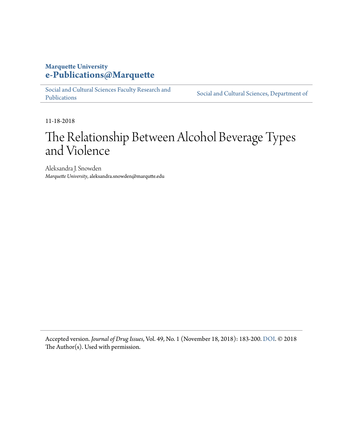## **Marquette University [e-Publications@Marquette](https://epublications.marquette.edu/)**

[Social and Cultural Sciences Faculty Research and](https://epublications.marquette.edu/socs_fac) [Publications](https://epublications.marquette.edu/socs_fac)

[Social and Cultural Sciences, Department of](https://epublications.marquette.edu/socs)

11-18-2018

## The Relationship Between Alcohol Beverage Types and Violence

Aleksandra J. Snowden *Marquette University*, aleksandra.snowden@marqutte.edu

Accepted version. *Journal of Drug Issues*, Vol. 49, No. 1 (November 18, 2018): 183-200. [DOI](https://doi.org/10.1177%2F0022042618812406). © 2018 The Author(s). Used with permission.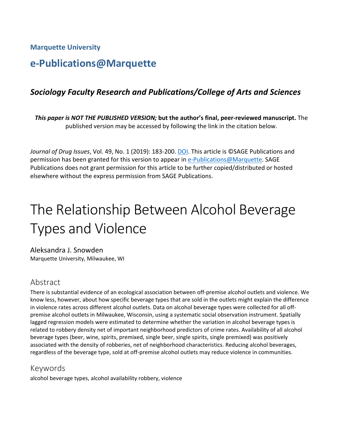**Marquette University**

## **e-Publications@Marquette**

## *Sociology Faculty Research and Publications/College of Arts and Sciences*

*This paper is NOT THE PUBLISHED VERSION;* **but the author's final, peer-reviewed manuscript.** The published version may be accessed by following the link in the citation below.

*Journal of Drug Issues*, Vol. 49, No. 1 (2019): 183-200. DOI. This article is ©SAGE Publications and permission has been granted for this version to appear in [e-Publications@Marquette.](http://epublications.marquette.edu/) SAGE Publications does not grant permission for this article to be further copied/distributed or hosted elsewhere without the express permission from SAGE Publications.

# The Relationship Between Alcohol Beverage Types and Violence

Aleksandra J. Snowden Marquette University, Milwaukee, WI

## Abstract

There is substantial evidence of an ecological association between off-premise alcohol outlets and violence. We know less, however, about how specific beverage types that are sold in the outlets might explain the difference in violence rates across different alcohol outlets. Data on alcohol beverage types were collected for all offpremise alcohol outlets in Milwaukee, Wisconsin, using a systematic social observation instrument. Spatially lagged regression models were estimated to determine whether the variation in alcohol beverage types is related to robbery density net of important neighborhood predictors of crime rates. Availability of all alcohol beverage types (beer, wine, spirits, premixed, single beer, single spirits, single premixed) was positively associated with the density of robberies, net of neighborhood characteristics. Reducing alcohol beverages, regardless of the beverage type, sold at off-premise alcohol outlets may reduce violence in communities.

#### Keywords

alcohol beverage types, alcohol availability robbery, violence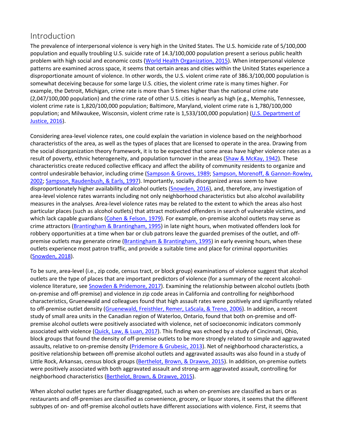## Introduction

The prevalence of interpersonal violence is very high in the United States. The U.S. homicide rate of 5/100,000 population and equally troubling U.S. suicide rate of 14.3/100,000 population present a serious public health problem with high social and economic costs [\(World Health Organization, 2015\)](https://journals.sagepub.com/doi/10.1177/0022042618812406). When interpersonal violence patterns are examined across space, it seems that certain areas and cities within the United States experience a disproportionate amount of violence. In other words, the U.S. violent crime rate of 386.3/100,000 population is somewhat deceiving because for some large U.S. cities, the violent crime rate is many times higher. For example, the Detroit, Michigan, crime rate is more than 5 times higher than the national crime rate (2,047/100,000 population) and the crime rate of other U.S. cities is nearly as high (e.g., Memphis, Tennessee, violent crime rate is 1,820/100,000 population; Baltimore, Maryland, violent crime rate is 1,780/100,000 population; and Milwaukee, Wisconsin, violent crime rate is 1,533/100,000 population) [\(U.S. Department of](https://journals.sagepub.com/doi/10.1177/0022042618812406)  [Justice, 2016\)](https://journals.sagepub.com/doi/10.1177/0022042618812406).

Considering area-level violence rates, one could explain the variation in violence based on the neighborhood characteristics of the area, as well as the types of places that are licensed to operate in the area. Drawing from the social disorganization theory framework, it is to be expected that some areas have higher violence rates as a result of poverty, ethnic heterogeneity, and population turnover in the areas [\(Shaw & McKay, 1942\)](https://journals.sagepub.com/doi/10.1177/0022042618812406). These characteristics create reduced collective efficacy and affect the ability of community residents to organize and control undesirable behavior, including crime [\(Sampson & Groves, 1989;](https://journals.sagepub.com/doi/10.1177/0022042618812406) [Sampson, Morenoff, & Gannon-Rowley,](https://journals.sagepub.com/doi/10.1177/0022042618812406)  [2002;](https://journals.sagepub.com/doi/10.1177/0022042618812406) [Sampson, Raudenbush, & Earls, 1997\)](https://journals.sagepub.com/doi/10.1177/0022042618812406). Importantly, socially disorganized areas seem to have disproportionately higher availability of alcohol outlets [\(Snowden, 2016\)](https://journals.sagepub.com/doi/10.1177/0022042618812406), and, therefore, any investigation of area-level violence rates warrants including not only neighborhood characteristics but also alcohol availability measures in the analyses. Area-level violence rates may be related to the extent to which the areas also host particular places (such as alcohol outlets) that attract motivated offenders in search of vulnerable victims, and which lack capable guardians [\(Cohen & Felson, 1979\)](https://journals.sagepub.com/doi/10.1177/0022042618812406). For example, on-premise alcohol outlets may serve as crime attractors [\(Brantingham & Brantingham, 1995\)](https://journals.sagepub.com/doi/10.1177/0022042618812406) in late night hours, when motivated offenders look for robbery opportunities at a time when bar or club patrons leave the guarded premises of the outlet, and off-premise outlets may generate crime [\(Brantingham & Brantingham, 1995\)](https://journals.sagepub.com/doi/10.1177/0022042618812406) in early evening hours, when these outlets experience most patron traffic, and provide a suitable time and place for criminal opportunities [\(Snowden, 2018\)](https://journals.sagepub.com/doi/10.1177/0022042618812406).

To be sure, area-level (i.e., zip code, census tract, or block group) examinations of violence suggest that alcohol outlets are the type of places that are important predictors of violence (for a summary of the recent alcohol-violence literature, see [Snowden & Pridemore, 2017\)](https://journals.sagepub.com/doi/10.1177/0022042618812406). Examining the relationship between alcohol outlets (both on-premise and off-premise) and violence in zip code areas in California and controlling for neighborhood characteristics, Gruenewald and colleagues found that high assault rates were positively and significantly related to off-premise outlet density [\(Gruenewald, Freisthler, Remer, LaScala, & Treno, 2006\)](https://journals.sagepub.com/doi/10.1177/0022042618812406). In addition, a recent study of small area units in the Canadian region of Waterloo, Ontario, found that both on-premise and offpremise alcohol outlets were positively associated with violence, net of socioeconomic indicators commonly associated with violence [\(Quick, Law, & Luan, 2017\)](https://journals.sagepub.com/doi/10.1177/0022042618812406). This finding was echoed by a study of Cincinnati, Ohio, block groups that found the density of off-premise outlets to be more strongly related to simple and aggravated assaults, relative to on-premise density [\(Pridemore & Grubesic, 2013\)](https://journals.sagepub.com/doi/10.1177/0022042618812406). Net of neighborhood characteristics, a positive relationship between off-premise alcohol outlets and aggravated assaults was also found in a study of Little Rock, Arkansas, census block groups [\(Berthelot, Brown, & Drawve, 2015\)](https://journals.sagepub.com/doi/10.1177/0022042618812406). In addition, on-premise outlets were positively associated with both aggravated assault and strong-arm aggravated assault, controlling for neighborhood characteristics [\(Berthelot, Brown, & Drawve, 2015\)](https://journals.sagepub.com/doi/10.1177/0022042618812406).

When alcohol outlet types are further disaggregated, such as when on-premises are classified as bars or as restaurants and off-premises are classified as convenience, grocery, or liquor stores, it seems that the different subtypes of on- and off-premise alcohol outlets have different associations with violence. First, it seems that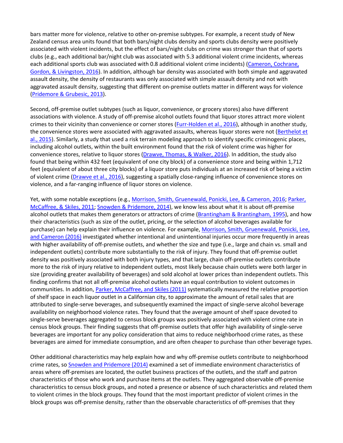bars matter more for violence, relative to other on-premise subtypes. For example, a recent study of New Zealand census area units found that both bars/night clubs density and sports clubs density were positively associated with violent incidents, but the effect of bars/night clubs on crime was stronger than that of sports clubs (e.g., each additional bar/night club was associated with 5.3 additional violent crime incidents, whereas each additional sports club was associated with 0.8 additional violent crime incidents) (Cameron, Cochrane, [Gordon, & Livingston, 2016\)](https://journals.sagepub.com/doi/10.1177/0022042618812406). In addition, although bar density was associated with both simple and aggravated assault density, the density of restaurants was only associated with simple assault density and not with aggravated assault density, suggesting that different on-premise outlets matter in different ways for violence [\(Pridemore & Grubesic, 2013\)](https://journals.sagepub.com/doi/10.1177/0022042618812406).

Second, off-premise outlet subtypes (such as liquor, convenience, or grocery stores) also have different associations with violence. A study of off-premise alcohol outlets found that liquor stores attract more violent crimes to their vicinity than convenience or corner stores (*Furr-Holden et al., 2016*), although in another study, the convenience stores were associated with aggravated assaults, whereas liquor stores were not (Berthelot et [al., 2015\)](https://journals.sagepub.com/doi/10.1177/0022042618812406). Similarly, a study that used a risk terrain modeling approach to identify specific criminogenic places, including alcohol outlets, within the built environment found that the risk of violent crime was higher for convenience stores, relative to liquor stores [\(Drawve, Thomas, & Walker, 2016\)](https://journals.sagepub.com/doi/10.1177/0022042618812406). In addition, the study also found that being within 432 feet (equivalent of one city block) of a convenience store and being within 1,712 feet (equivalent of about three city blocks) of a liquor store puts individuals at an increased risk of being a victim of violent crime [\(Drawve et al., 2016\)](https://journals.sagepub.com/doi/10.1177/0022042618812406), suggesting a spatially close-ranging influence of convenience stores on violence, and a far-ranging influence of liquor stores on violence.

Yet, with some notable exceptions (e.g., [Morrison, Smith, Gruenewald, Ponicki, Lee, & Cameron, 2016;](https://journals.sagepub.com/doi/10.1177/0022042618812406) Parker, [McCaffree, & Skiles, 2011;](https://journals.sagepub.com/doi/10.1177/0022042618812406) [Snowden & Pridemore, 2014\)](https://journals.sagepub.com/doi/10.1177/0022042618812406), we know less about what it is about off-premise alcohol outlets that makes them generators or attractors of crime [\(Brantingham & Brantingham, 1995\)](https://journals.sagepub.com/doi/10.1177/0022042618812406), and how their characteristics (such as size of the outlet, pricing, or the selection of alcohol beverages available for purchase) can help explain their influence on violence. For example, [Morrison, Smith, Gruenewald, Ponicki,](https://journals.sagepub.com/doi/10.1177/0022042618812406) Lee, [and Cameron \(2016\)](https://journals.sagepub.com/doi/10.1177/0022042618812406) investigated whether intentional and unintentional injuries occur more frequently in areas with higher availability of off-premise outlets, and whether the size and type (i.e., large and chain vs. small and independent outlets) contribute more substantially to the risk of injury. They found that off-premise outlet density was positively associated with both injury types, and that large, chain off-premise outlets contribute more to the risk of injury relative to independent outlets, most likely because chain outlets were both larger in size (providing greater availability of beverages) and sold alcohol at lower prices than independent outlets. This finding confirms that not all off-premise alcohol outlets have an equal contribution to violent outcomes in communities. In addition, [Parker, McCaffree, and Skiles \(2011\)](https://journals.sagepub.com/doi/10.1177/0022042618812406) systematically measured the relative proportion of shelf space in each liquor outlet in a Californian city, to approximate the amount of retail sales that are attributed to single-serve beverages, and subsequently examined the impact of single-serve alcohol beverage availability on neighborhood violence rates. They found that the average amount of shelf space devoted to single-serve beverages aggregated to census block groups was positively associated with violent crime rate in census block groups. Their finding suggests that off-premise outlets that offer high availability of single-serve beverages are important for any policy consideration that aims to reduce neighborhood crime rates, as these beverages are aimed for immediate consumption, and are often cheaper to purchase than other beverage types.

Other additional characteristics may help explain how and why off-premise outlets contribute to neighborhood crime rates, so [Snowden and Pridemore \(2014\)](https://journals.sagepub.com/doi/10.1177/0022042618812406) examined a set of immediate environment characteristics of areas where off-premises are located, the outlet business practices of the outlets, and the staff and patron characteristics of those who work and purchase items at the outlets. They aggregated observable off-premise characteristics to census block groups, and noted a presence or absence of such characteristics and related them to violent crimes in the block groups. They found that the most important predictor of violent crimes in the block groups was off-premise density, rather than the observable characteristics of off-premises that they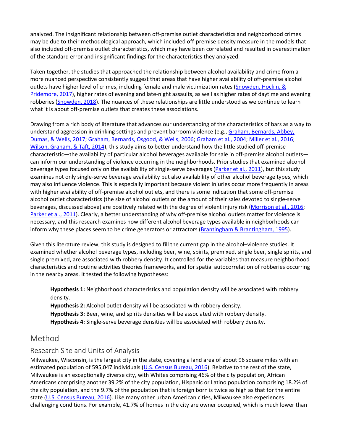analyzed. The insignificant relationship between off-premise outlet characteristics and neighborhood crimes may be due to their methodological approach, which included off-premise density measure in the models that also included off-premise outlet characteristics, which may have been correlated and resulted in overestimation of the standard error and insignificant findings for the characteristics they analyzed.

Taken together, the studies that approached the relationship between alcohol availability and crime from a more nuanced perspective consistently suggest that areas that have higher availability of off-premise alcohol outlets have higher level of crimes, including female and male victimization rates [\(Snowden, Hockin, &](https://journals.sagepub.com/doi/10.1177/0022042618812406)  [Pridemore, 2017\)](https://journals.sagepub.com/doi/10.1177/0022042618812406), higher rates of evening and late-night assaults, as well as higher rates of daytime and evening robberies [\(Snowden, 2018\)](https://journals.sagepub.com/doi/10.1177/0022042618812406). The nuances of these relationships are little understood as we continue to learn what it is about off-premise outlets that creates these associations.

Drawing from a rich body of literature that advances our understanding of the characteristics of bars as a way to understand aggression in drinking settings and prevent barroom violence (e.g., Graham, Bernards, Abbey, [Dumas, & Wells, 2017;](https://journals.sagepub.com/doi/10.1177/0022042618812406) [Graham, Bernards, Osgood, & Wells, 2006;](https://journals.sagepub.com/doi/10.1177/0022042618812406) [Graham et al., 2004;](https://journals.sagepub.com/doi/10.1177/0022042618812406) [Miller et al., 2016;](https://journals.sagepub.com/doi/10.1177/0022042618812406) [Wilson, Graham, & Taft, 2014\)](https://journals.sagepub.com/doi/10.1177/0022042618812406), this study aims to better understand how the little studied off-premise characteristic—the availability of particular alcohol beverages available for sale in off-premise alcohol outlets can inform our understanding of violence occurring in the neighborhoods. Prior studies that examined alcohol beverage types focused only on the availability of single-serve beverages [\(Parker et al., 2011\)](https://journals.sagepub.com/doi/10.1177/0022042618812406), but this study examines not only single-serve beverage availability but also availability of other alcohol beverage types, which may also influence violence. This is especially important because violent injuries occur more frequently in areas with higher availability of off-premise alcohol outlets, and there is some indication that some off-premise alcohol outlet characteristics (the size of alcohol outlets or the amount of their sales devoted to single-serve beverages, discussed above) are positively related with the degree of violent injury risk [\(Morrison et al., 2016;](https://journals.sagepub.com/doi/10.1177/0022042618812406) [Parker et al., 2011\)](https://journals.sagepub.com/doi/10.1177/0022042618812406). Clearly, a better understanding of why off-premise alcohol outlets matter for violence is necessary, and this research examines how different alcohol beverage types available in neighborhoods can inform why these places seem to be crime generators or attractors [\(Brantingham & Brantingham, 1995\)](https://journals.sagepub.com/doi/10.1177/0022042618812406).

Given this literature review, this study is designed to fill the current gap in the alcohol–violence studies. It examined whether alcohol beverage types, including beer, wine, spirits, premixed, single beer, single spirits, and single premixed, are associated with robbery density. It controlled for the variables that measure neighborhood characteristics and routine activities theories frameworks, and for spatial autocorrelation of robberies occurring in the nearby areas. It tested the following hypotheses:

**Hypothesis 1:** Neighborhood characteristics and population density will be associated with robbery density.

**Hypothesis 2:** Alcohol outlet density will be associated with robbery density. **Hypothesis 3:** Beer, wine, and spirits densities will be associated with robbery density. **Hypothesis 4:** Single-serve beverage densities will be associated with robbery density.

## Method

#### Research Site and Units of Analysis

Milwaukee, Wisconsin, is the largest city in the state, covering a land area of about 96 square miles with an estimated population of 595,047 individuals [\(U.S. Census Bureau, 2016\)](https://journals.sagepub.com/doi/10.1177/0022042618812406). Relative to the rest of the state, Milwaukee is an exceptionally diverse city, with Whites comprising 46% of the city population, African Americans comprising another 39.2% of the city population, Hispanic or Latino population comprising 18.2% of the city population, and the 9.7% of the population that is foreign born is twice as high as that for the entire state [\(U.S. Census Bureau, 2016\)](https://journals.sagepub.com/doi/10.1177/0022042618812406). Like many other urban American cities, Milwaukee also experiences challenging conditions. For example, 41.7% of homes in the city are owner occupied, which is much lower than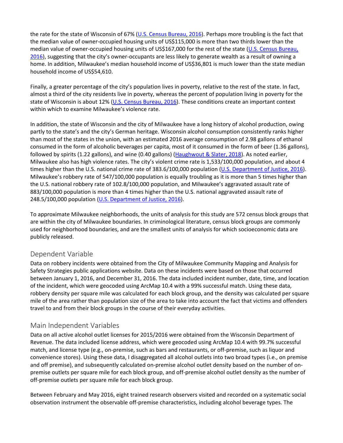the rate for the state of Wisconsin of 67% [\(U.S. Census Bureau, 2016\)](https://journals.sagepub.com/doi/10.1177/0022042618812406). Perhaps more troubling is the fact that the median value of owner-occupied housing units of US\$115,000 is more than two thirds lower than the median value of owner-occupied housing units of US\$167,000 for the rest of the state (U.S. Census Bureau, [2016\)](https://journals.sagepub.com/doi/10.1177/0022042618812406), suggesting that the city's owner-occupants are less likely to generate wealth as a result of owning a home. In addition, Milwaukee's median household income of US\$36,801 is much lower than the state median household income of US\$54,610.

Finally, a greater percentage of the city's population lives in poverty, relative to the rest of the state. In fact, almost a third of the city residents live in poverty, whereas the percent of population living in poverty for the state of Wisconsin is about 12% [\(U.S. Census Bureau, 2016\)](https://journals.sagepub.com/doi/10.1177/0022042618812406). These conditions create an important context within which to examine Milwaukee's violence rate.

In addition, the state of Wisconsin and the city of Milwaukee have a long history of alcohol production, owing partly to the state's and the city's German heritage. Wisconsin alcohol consumption consistently ranks higher than most of the states in the union, with an estimated 2016 average consumption of 2.98 gallons of ethanol consumed in the form of alcoholic beverages per capita, most of it consumed in the form of beer (1.36 gallons), followed by spirits (1.22 gallons), and wine (0.40 gallons) [\(Haughwout & Slater, 2018\)](https://journals.sagepub.com/doi/10.1177/0022042618812406). As noted earlier, Milwaukee also has high violence rates. The city's violent crime rate is 1,533/100,000 population, and about 4 times higher than the U.S. national crime rate of 383.6/100,000 population [\(U.S. Department of Justice, 2016\)](https://journals.sagepub.com/doi/10.1177/0022042618812406). Milwaukee's robbery rate of 547/100,000 population is equally troubling as it is more than 5 times higher than the U.S. national robbery rate of 102.8/100,000 population, and Milwaukee's aggravated assault rate of 883/100,000 population is more than 4 times higher than the U.S. national aggravated assault rate of 248.5/100,000 population [\(U.S. Department of Justice, 2016\)](https://journals.sagepub.com/doi/10.1177/0022042618812406).

To approximate Milwaukee neighborhoods, the units of analysis for this study are 572 census block groups that are within the city of Milwaukee boundaries. In criminological literature, census block groups are commonly used for neighborhood boundaries, and are the smallest units of analysis for which socioeconomic data are publicly released.

#### Dependent Variable

Data on robbery incidents were obtained from the City of Milwaukee Community Mapping and Analysis for Safety Strategies public applications website. Data on these incidents were based on those that occurred between January 1, 2016, and December 31, 2016. The data included incident number, date, time, and location of the incident, which were geocoded using ArcMap 10.4 with a 99% successful match. Using these data, robbery density per square mile was calculated for each block group, and the density was calculated per square mile of the area rather than population size of the area to take into account the fact that victims and offenders travel to and from their block groups in the course of their everyday activities.

#### Main Independent Variables

Data on all active alcohol outlet licenses for 2015/2016 were obtained from the Wisconsin Department of Revenue. The data included license address, which were geocoded using ArcMap 10.4 with 99.7% successful match, and license type (e.g., on-premise, such as bars and restaurants, or off-premise, such as liquor and convenience stores). Using these data, I disaggregated all alcohol outlets into two broad types (i.e., on premise and off premise), and subsequently calculated on-premise alcohol outlet density based on the number of onpremise outlets per square mile for each block group, and off-premise alcohol outlet density as the number of off-premise outlets per square mile for each block group.

Between February and May 2016, eight trained research observers visited and recorded on a systematic social observation instrument the observable off-premise characteristics, including alcohol beverage types. The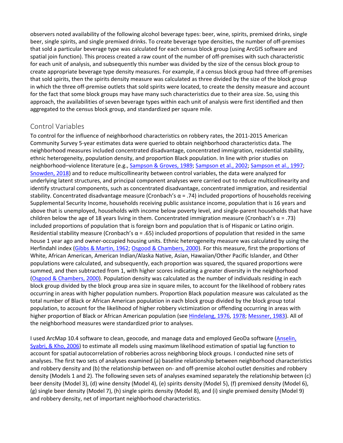observers noted availability of the following alcohol beverage types: beer, wine, spirits, premixed drinks, single beer, single spirits, and single premixed drinks. To create beverage type densities, the number of off-premises that sold a particular beverage type was calculated for each census block group (using ArcGIS software and spatial join function). This process created a raw count of the number of off-premises with such characteristic for each unit of analysis, and subsequently this number was divided by the size of the census block group to create appropriate beverage type density measures. For example, if a census block group had three off-premises that sold spirits, then the spirits density measure was calculated as three divided by the size of the block group in which the three off-premise outlets that sold spirits were located, to create the density measure and account for the fact that some block groups may have many such characteristics due to their area size. So, using this approach, the availabilities of seven beverage types within each unit of analysis were first identified and then aggregated to the census block group, and standardized per square mile.

#### Control Variables

To control for the influence of neighborhood characteristics on robbery rates, the 2011-2015 American Community Survey 5-year estimates data were queried to obtain neighborhood characteristics data. The neighborhood measures included concentrated disadvantage, concentrated immigration, residential stability, ethnic heterogeneity, population density, and proportion Black population. In line with prior studies on neighborhood–violence literature (e.g., [Sampson & Groves, 1989;](https://journals.sagepub.com/doi/10.1177/0022042618812406) [Sampson et al., 2002;](https://journals.sagepub.com/doi/10.1177/0022042618812406) [Sampson et al., 1997;](https://journals.sagepub.com/doi/10.1177/0022042618812406) [Snowden, 2018\)](https://journals.sagepub.com/doi/10.1177/0022042618812406) and to reduce multicollinearity between control variables, the data were analyzed for underlying latent structures, and principal component analyses were carried out to reduce multicollinearity and identify structural components, such as concentrated disadvantage, concentrated immigration, and residential stability. Concentrated disadvantage measure (Cronbach's  $\alpha$  = .74) included proportions of households receiving Supplemental Security Income, households receiving public assistance income, population that is 16 years and above that is unemployed, households with income below poverty level, and single-parent households that have children below the age of 18 years living in them. Concentrated immigration measure (Cronbach's α = .73) included proportions of population that is foreign born and population that is of Hispanic or Latino origin. Residential stability measure (Cronbach's  $\alpha$  = .65) included proportions of population that resided in the same house 1 year ago and owner-occupied housing units. Ethnic heterogeneity measure was calculated by using the Herfindahl index [\(Gibbs & Martin, 1962;](https://journals.sagepub.com/doi/10.1177/0022042618812406) [Osgood & Chambers, 2000\)](https://journals.sagepub.com/doi/10.1177/0022042618812406). For this measure, first the proportions of White, African American, American Indian/Alaska Native, Asian, Hawaiian/Other Pacific Islander, and Other populations were calculated, and subsequently, each proportion was squared, the squared proportions were summed, and then subtracted from 1, with higher scores indicating a greater diversity in the neighborhood [\(Osgood & Chambers, 2000\)](https://journals.sagepub.com/doi/10.1177/0022042618812406). Population density was calculated as the number of individuals residing in each block group divided by the block group area size in square miles, to account for the likelihood of robbery rates occurring in areas with higher population numbers. Proportion Black population measure was calculated as the total number of Black or African American population in each block group divided by the block group total population, to account for the likelihood of higher robbery victimization or offending occurring in areas with higher proportion of Black or African American population (see [Hindelang, 1976,](https://journals.sagepub.com/doi/10.1177/0022042618812406) [1978;](https://journals.sagepub.com/doi/10.1177/0022042618812406) [Messner, 1983\)](https://journals.sagepub.com/doi/10.1177/0022042618812406). All of the neighborhood measures were standardized prior to analyses.

I used ArcMap 10.4 software to clean, geocode, and manage data and employed GeoDa software (Anselin, [Syabri, & Kho, 2006\)](https://journals.sagepub.com/doi/10.1177/0022042618812406) to estimate all models using maximum likelihood estimation of spatial lag function to account for spatial autocorrelation of robberies across neighboring block groups. I conducted nine sets of analyses. The first two sets of analyses examined (a) baseline relationship between neighborhood characteristics and robbery density and (b) the relationship between on- and off-premise alcohol outlet densities and robbery density (Models 1 and 2). The following seven sets of analyses examined separately the relationship between (c) beer density (Model 3), (d) wine density (Model 4), (e) spirits density (Model 5), (f) premixed density (Model 6), (g) single beer density (Model 7), (h) single spirits density (Model 8), and (i) single premixed density (Model 9) and robbery density, net of important neighborhood characteristics.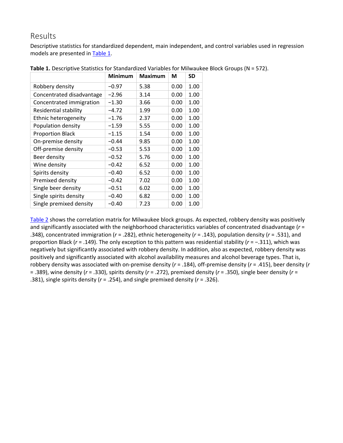#### Results

Descriptive statistics for standardized dependent, main independent, and control variables used in regression models are presented in [Table 1.](https://journals.sagepub.com/doi/10.1177/0022042618812406)

|                              | Minimum | Maximum | M    | SD   |
|------------------------------|---------|---------|------|------|
| Robbery density              | $-0.97$ | 5.38    | 0.00 | 1.00 |
| Concentrated disadvantage    | $-2.96$ | 3.14    | 0.00 | 1.00 |
| Concentrated immigration     | $-1.30$ | 3.66    | 0.00 | 1.00 |
| <b>Residential stability</b> | $-4.72$ | 1.99    | 0.00 | 1.00 |
| Ethnic heterogeneity         | $-1.76$ | 2.37    | 0.00 | 1.00 |
| Population density           | $-1.59$ | 5.55    | 0.00 | 1.00 |
| <b>Proportion Black</b>      | $-1.15$ | 1.54    | 0.00 | 1.00 |
| On-premise density           | $-0.44$ | 9.85    | 0.00 | 1.00 |
| Off-premise density          | $-0.53$ | 5.53    | 0.00 | 1.00 |
| Beer density                 | $-0.52$ | 5.76    | 0.00 | 1.00 |
| Wine density                 | $-0.42$ | 6.52    | 0.00 | 1.00 |
| Spirits density              | $-0.40$ | 6.52    | 0.00 | 1.00 |
| Premixed density             | $-0.42$ | 7.02    | 0.00 | 1.00 |
| Single beer density          | $-0.51$ | 6.02    | 0.00 | 1.00 |
| Single spirits density       | $-0.40$ | 6.82    | 0.00 | 1.00 |
| Single premixed density      | $-0.40$ | 7.23    | 0.00 | 1.00 |

[Table 2](https://journals.sagepub.com/doi/10.1177/0022042618812406) shows the correlation matrix for Milwaukee block groups. As expected, robbery density was positively and significantly associated with the neighborhood characteristics variables of concentrated disadvantage (*r* = .348), concentrated immigration (*r* = .282), ethnic heterogeneity (*r* = .143), population density (*r* = .531), and proportion Black (*r* = .149). The only exception to this pattern was residential stability (*r* = −.311), which was negatively but significantly associated with robbery density. In addition, also as expected, robbery density was positively and significantly associated with alcohol availability measures and alcohol beverage types. That is, robbery density was associated with on-premise density (*r* = .184), off-premise density (*r* = .415), beer density (*r* = .389), wine density (*r* = .330), spirits density (*r* = .272), premixed density (*r* = .350), single beer density (*r* = .381), single spirits density (*r* = .254), and single premixed density (*r* = .326).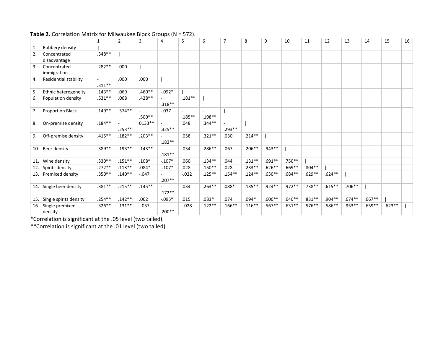#### **Table 2.** Correlation Matrix for Milwaukee Block Groups (N = 572).

|     |                            | 1         | $\overline{2}$ | 3        | 4         | 5         | 6         | $\overline{7}$ | 8         | 9        | 10       | 11        | 12        | 13       | 14       | 15       | 16 |
|-----|----------------------------|-----------|----------------|----------|-----------|-----------|-----------|----------------|-----------|----------|----------|-----------|-----------|----------|----------|----------|----|
| 1.  | Robbery density            |           |                |          |           |           |           |                |           |          |          |           |           |          |          |          |    |
| 2.  | Concentrated               | $.348**$  |                |          |           |           |           |                |           |          |          |           |           |          |          |          |    |
|     | disadvantage               |           |                |          |           |           |           |                |           |          |          |           |           |          |          |          |    |
| 3.  | Concentrated               | $.282**$  | .000           |          |           |           |           |                |           |          |          |           |           |          |          |          |    |
|     | immigration                |           |                |          |           |           |           |                |           |          |          |           |           |          |          |          |    |
| 4.  | Residential stability      | $.311**$  | .000           | .000     |           |           |           |                |           |          |          |           |           |          |          |          |    |
| 5.  | Ethnic heterogeneity       | $.143**$  | .069           | $.460**$ | $-.092*$  |           |           |                |           |          |          |           |           |          |          |          |    |
| 6.  | Population density         | .531**    | .068           | $.428**$ | $.318**$  | $.181***$ |           |                |           |          |          |           |           |          |          |          |    |
| 7.  | Proportion Black           | $.149**$  | $.574**$       | $.500**$ | $-.037$   | $.185***$ | .198**    |                |           |          |          |           |           |          |          |          |    |
| 8.  | On-premise density         | $.184**$  | $.253**$       | $0133**$ | $.325***$ | .048      | $.344**$  | $.293**$       |           |          |          |           |           |          |          |          |    |
| 9.  | Off-premise density        | $.415**$  | $.182**$       | $.203**$ | $.182**$  | .058      | $.321**$  | .030           | $.214***$ |          |          |           |           |          |          |          |    |
| 10. | Beer density               | .389**    | $.193**$       | $.143**$ | $.181***$ | .034      | $.286**$  | .067           | $.206**$  | $.943**$ |          |           |           |          |          |          |    |
| 11. | Wine density               | $.330**$  | $.151**$       | $.108*$  | $-.107*$  | .060      | $.134**$  | .044           | $.131**$  | $.691**$ | .750**   |           |           |          |          |          |    |
| 12. | Spirits density            | $.272**$  | $.113***$      | $.084*$  | $-.107*$  | .028      | $.150**$  | .028           | $.233**$  | $.626**$ | .669**   | $.804***$ |           |          |          |          |    |
| 13. | Premixed density           | $.350**$  | $.140**$       | $-.047$  | $.207**$  | $-.022$   | $.125***$ | $.154***$      | $.124***$ | $.630**$ | .684**   | $.629**$  | $.624**$  |          |          |          |    |
|     | 14. Single beer density    | $.381**$  | $.215**$       | $.145**$ | $.172**$  | .034      | $.263**$  | $.088*$        | $.135***$ | $.924**$ | $.972**$ | .738**    | $.615***$ | $.706**$ |          |          |    |
| 15. | Single spirits density     | $.254***$ | $.142**$       | .062     | $-.095*$  | .015      | $.083*$   | .074           | $.094*$   | $.600**$ | $.640**$ | $.831**$  | .904**    | $.674**$ | $.667**$ |          |    |
| 16. | Single premixed<br>density | $.326**$  | $.131**$       | $-.057$  | $.200**$  | $-.028$   | $.122**$  | $.166***$      | $.116**$  | $.567**$ | $.631**$ | .576**    | .586**    | .953**   | .659**   | $.623**$ |    |

\*Correlation is significant at the .05 level (two tailed).

\*\*Correlation is significant at the .01 level (two tailed).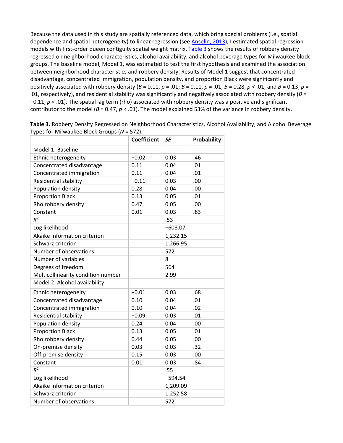Because the data used in this study are spatially referenced data, which bring special problems (i.e., spatial dependence and spatial heterogeneity) to linear regression (see [Anselin, 2013\)](https://journals.sagepub.com/doi/10.1177/0022042618812406), I estimated spatial regression models with first-order queen contiguity spatial weight matrix. [Table 3](https://journals.sagepub.com/doi/10.1177/0022042618812406) shows the results of robbery density regressed on neighborhood characteristics, alcohol availability, and alcohol beverage types for Milwaukee block groups. The baseline model, Model 1, was estimated to test the first hypothesis and examined the association between neighborhood characteristics and robbery density. Results of Model 1 suggest that concentrated disadvantage, concentrated immigration, population density, and proportion Black were significantly and positively associated with robbery density (*B* = 0.11, *p* = .01; *B* = 0.11, *p* = .01; *B* = 0.28, *p* < .01; and *B* = 0.13, *p* = .01, respectively), and residential stability was significantly and negatively associated with robbery density (*B* = −0.11, *p* < .01). The spatial lag term (rho) associated with robbery density was a positive and significant contributor to the model (*B* = 0.47, *p* < .01). The model explained 53% of the variance in robbery density.

|                                    | <b>Coefficient</b> | <b>SE</b> | Probability |
|------------------------------------|--------------------|-----------|-------------|
| Model 1: Baseline                  |                    |           |             |
| Ethnic heterogeneity               | $-0.02$            | 0.03      | .46         |
| Concentrated disadvantage          | 0.11               | 0.04      | .01         |
| Concentrated immigration           | 0.11               | 0.04      | .01         |
| Residential stability              | $-0.11$            | 0.03      | .00         |
| Population density                 | 0.28               | 0.04      | .00         |
| <b>Proportion Black</b>            | 0.13               | 0.05      | .01         |
| Rho robbery density                | 0.47               | 0.05      | .00         |
| Constant                           | 0.01               | 0.03      | .83         |
| $R^2$                              |                    | .53       |             |
| Log likelihood                     |                    | $-608.07$ |             |
| Akaike information criterion       |                    | 1,232.15  |             |
| Schwarz criterion                  |                    | 1,266.95  |             |
| Number of observations             |                    | 572       |             |
| Number of variables                |                    | 8         |             |
| Degrees of freedom                 |                    | 564       |             |
| Multicollinearity condition number |                    | 2.99      |             |
| Model 2: Alcohol availability      |                    |           |             |
| Ethnic heterogeneity               | $-0.01$            | 0.03      | .68         |
| Concentrated disadvantage          | 0.10               | 0.04      | .01         |
| Concentrated immigration           | 0.10               | 0.04      | .02         |
| Residential stability              | $-0.09$            | 0.03      | .01         |
| Population density                 | 0.24               | 0.04      | .00         |
| <b>Proportion Black</b>            | 0.13               | 0.05      | .01         |
| Rho robbery density                | 0.44               | 0.05      | .00         |
| On-premise density                 | 0.03               | 0.03      | .32         |
| Off-premise density                | 0.15               | 0.03      | .00         |
| Constant                           | 0.01               | 0.03      | .84         |
| $R^2$                              |                    | .55       |             |
| Log likelihood                     |                    | $-594.54$ |             |
| Akaike information criterion       |                    | 1,209.09  |             |
| Schwarz criterion                  |                    | 1,252.58  |             |
| Number of observations             |                    | 572       |             |

**Table 3.** Robbery Density Regressed on Neighborhood Characteristics, Alcohol Availability, and Alcohol Beverage Types for Milwaukee Block Groups (*N* = 572).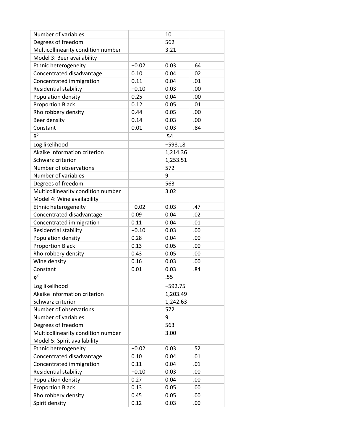| Number of variables                            |         | 10                   |     |
|------------------------------------------------|---------|----------------------|-----|
| Degrees of freedom                             |         | 562                  |     |
| Multicollinearity condition number             |         | 3.21                 |     |
| Model 3: Beer availability                     |         |                      |     |
| Ethnic heterogeneity                           | $-0.02$ | 0.03                 | .64 |
| Concentrated disadvantage                      | 0.10    | 0.04                 | .02 |
| Concentrated immigration                       | 0.11    | 0.04                 | .01 |
| Residential stability                          | $-0.10$ | 0.03                 | .00 |
| Population density                             | 0.25    | 0.04                 | .00 |
| <b>Proportion Black</b>                        | 0.12    | 0.05                 | .01 |
| Rho robbery density                            | 0.44    | 0.05                 | .00 |
| Beer density                                   | 0.14    | 0.03                 | .00 |
| Constant                                       | 0.01    | 0.03                 | .84 |
| $R^2$                                          |         | .54                  |     |
| Log likelihood                                 |         | $-598.18$            |     |
| Akaike information criterion                   |         | 1,214.36             |     |
| Schwarz criterion                              |         | 1,253.51             |     |
| Number of observations                         |         | 572                  |     |
| Number of variables                            |         | 9                    |     |
| Degrees of freedom                             |         | 563                  |     |
| Multicollinearity condition number             |         | 3.02                 |     |
| Model 4: Wine availability                     |         |                      |     |
| Ethnic heterogeneity                           | $-0.02$ | 0.03                 | .47 |
| Concentrated disadvantage                      | 0.09    | 0.04                 | .02 |
| Concentrated immigration                       | 0.11    | 0.04                 | .01 |
| Residential stability                          | $-0.10$ | 0.03                 | .00 |
| Population density                             | 0.28    | 0.04                 | .00 |
| <b>Proportion Black</b>                        | 0.13    | 0.05                 | .00 |
| Rho robbery density                            | 0.43    | 0.05                 | .00 |
| Wine density                                   | 0.16    | 0.03                 | .00 |
| Constant                                       | 0.01    | 0.03                 | .84 |
| $R^2$                                          |         | .55                  |     |
|                                                |         |                      |     |
| Log likelihood<br>Akaike information criterion |         | $-592.75$            |     |
| Schwarz criterion                              |         | 1,203.49<br>1,242.63 |     |
| Number of observations                         |         | 572                  |     |
| Number of variables                            |         | 9                    |     |
| Degrees of freedom                             |         | 563                  |     |
| Multicollinearity condition number             |         |                      |     |
| Model 5: Spirit availability                   |         | 3.00                 |     |
|                                                |         |                      |     |
| Ethnic heterogeneity                           | $-0.02$ | 0.03                 | .52 |
| Concentrated disadvantage                      | 0.10    | 0.04                 | .01 |
| Concentrated immigration                       | 0.11    | 0.04                 | .01 |
| Residential stability                          | $-0.10$ | 0.03                 | .00 |
| Population density                             | 0.27    | 0.04                 | .00 |
| <b>Proportion Black</b>                        | 0.13    | 0.05                 | .00 |
| Rho robbery density                            | 0.45    | 0.05                 | .00 |
| Spirit density                                 | 0.12    | 0.03                 | .00 |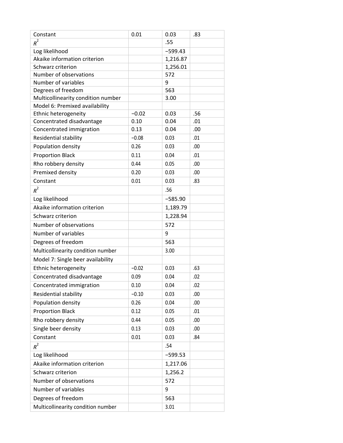| Constant                           | 0.01    | 0.03      | .83 |
|------------------------------------|---------|-----------|-----|
| $R^2$                              |         | .55       |     |
| Log likelihood                     |         | $-599.43$ |     |
| Akaike information criterion       |         | 1,216.87  |     |
| Schwarz criterion                  |         | 1,256.01  |     |
| Number of observations             |         | 572       |     |
| Number of variables                |         | 9         |     |
| Degrees of freedom                 |         | 563       |     |
| Multicollinearity condition number |         | 3.00      |     |
| Model 6: Premixed availability     |         |           |     |
| Ethnic heterogeneity               | $-0.02$ | 0.03      | .56 |
| Concentrated disadvantage          | 0.10    | 0.04      | .01 |
| Concentrated immigration           | 0.13    | 0.04      | .00 |
| Residential stability              | $-0.08$ | 0.03      | .01 |
| Population density                 | 0.26    | 0.03      | .00 |
| <b>Proportion Black</b>            | 0.11    | 0.04      | .01 |
| Rho robbery density                | 0.44    | 0.05      | .00 |
| Premixed density                   | 0.20    | 0.03      | .00 |
| Constant                           | 0.01    | 0.03      | .83 |
| $R^2$                              |         | .56       |     |
| Log likelihood                     |         | $-585.90$ |     |
| Akaike information criterion       |         | 1,189.79  |     |
| Schwarz criterion                  |         | 1,228.94  |     |
| Number of observations             |         | 572       |     |
| Number of variables                |         | 9         |     |
| Degrees of freedom                 |         | 563       |     |
| Multicollinearity condition number |         | 3.00      |     |
| Model 7: Single beer availability  |         |           |     |
| Ethnic heterogeneity               | $-0.02$ | 0.03      | .63 |
| Concentrated disadvantage          | 0.09    | 0.04      | .02 |
| Concentrated immigration           | 0.10    | 0.04      | .02 |
| Residential stability              | $-0.10$ | 0.03      | .00 |
| Population density                 | 0.26    | 0.04      | .00 |
| <b>Proportion Black</b>            | 0.12    | 0.05      | .01 |
| Rho robbery density                | 0.44    | 0.05      | .00 |
| Single beer density                | 0.13    | 0.03      | .00 |
| Constant                           | 0.01    | 0.03      | .84 |
| $R^2$                              |         | .54       |     |
| Log likelihood                     |         | $-599.53$ |     |
| Akaike information criterion       |         | 1,217.06  |     |
| Schwarz criterion                  |         | 1,256.2   |     |
| Number of observations             |         | 572       |     |
| Number of variables                |         | 9         |     |
| Degrees of freedom                 |         | 563       |     |
| Multicollinearity condition number |         | 3.01      |     |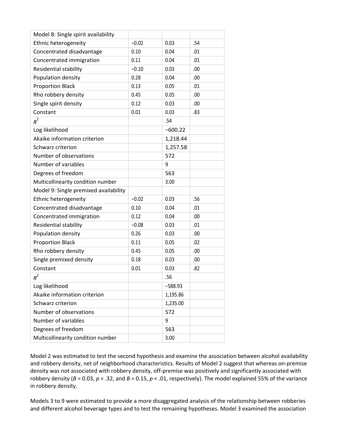| Model 8: Single spirit availability   |         |           |     |
|---------------------------------------|---------|-----------|-----|
| Ethnic heterogeneity                  | $-0.02$ | 0.03      | .54 |
| Concentrated disadvantage             | 0.10    | 0.04      | .01 |
| Concentrated immigration              | 0.11    | 0.04      | .01 |
| Residential stability                 | $-0.10$ | 0.03      | .00 |
| Population density                    | 0.28    | 0.04      | .00 |
| <b>Proportion Black</b>               | 0.13    | 0.05      | .01 |
| Rho robbery density                   | 0.45    | 0.05      | .00 |
| Single spirit density                 | 0.12    | 0.03      | .00 |
| Constant                              | 0.01    | 0.03      | .83 |
| $R^2$                                 |         | .54       |     |
| Log likelihood                        |         | $-600.22$ |     |
| Akaike information criterion          |         | 1,218.44  |     |
| Schwarz criterion                     |         | 1,257.58  |     |
| Number of observations                |         | 572       |     |
| Number of variables                   |         | 9         |     |
| Degrees of freedom                    |         | 563       |     |
| Multicollinearity condition number    |         | 3.00      |     |
| Model 9: Single premixed availability |         |           |     |
| Ethnic heterogeneity                  | $-0.02$ | 0.03      | .56 |
| Concentrated disadvantage             | 0.10    | 0.04      | .01 |
| Concentrated immigration              | 0.12    | 0.04      | .00 |
| Residential stability                 | $-0.08$ | 0.03      | .01 |
| Population density                    | 0.26    | 0.03      | .00 |
| <b>Proportion Black</b>               | 0.11    | 0.05      | .02 |
| Rho robbery density                   | 0.45    | 0.05      | .00 |
| Single premixed density               | 0.18    | 0.03      | .00 |
| Constant                              | 0.01    | 0.03      | .82 |
| $R^2$                                 |         | .56       |     |
| Log likelihood                        |         | $-588.93$ |     |
| Akaike information criterion          |         | 1,195.86  |     |
| Schwarz criterion                     |         | 1,235.00  |     |
| Number of observations                |         | 572       |     |
| Number of variables                   |         | 9         |     |
| Degrees of freedom                    |         | 563       |     |
| Multicollinearity condition number    |         | 3.00      |     |

Model 2 was estimated to test the second hypothesis and examine the association between alcohol availability and robbery density, net of neighborhood characteristics. Results of Model 2 suggest that whereas on-premise density was not associated with robbery density, off-premise was positively and significantly associated with robbery density ( $B = 0.03$ ,  $p = .32$ , and  $B = 0.15$ ,  $p < .01$ , respectively). The model explained 55% of the variance in robbery density.

Models 3 to 9 were estimated to provide a more disaggregated analysis of the relationship between robberies and different alcohol beverage types and to test the remaining hypotheses. Model 3 examined the association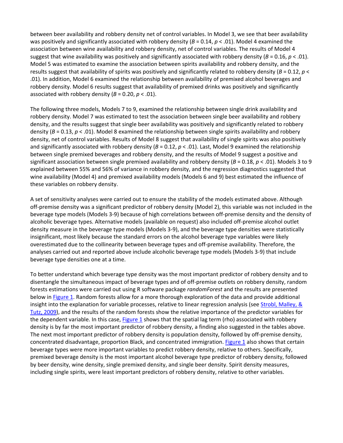between beer availability and robbery density net of control variables. In Model 3, we see that beer availability was positively and significantly associated with robbery density ( $B = 0.14$ ,  $p < .01$ ). Model 4 examined the association between wine availability and robbery density, net of control variables. The results of Model 4 suggest that wine availability was positively and significantly associated with robbery density (*B* = 0.16, *p* < .01). Model 5 was estimated to examine the association between spirits availability and robbery density, and the results suggest that availability of spirits was positively and significantly related to robbery density (*B* = 0.12, *p* < .01). In addition, Model 6 examined the relationship between availability of premixed alcohol beverages and robbery density. Model 6 results suggest that availability of premixed drinks was positively and significantly associated with robbery density  $(B = 0.20, p < .01)$ .

The following three models, Models 7 to 9, examined the relationship between single drink availability and robbery density. Model 7 was estimated to test the association between single beer availability and robbery density, and the results suggest that single beer availability was positively and significantly related to robbery density (*B* = 0.13, *p* < .01). Model 8 examined the relationship between single spirits availability and robbery density, net of control variables. Results of Model 8 suggest that availability of single spirits was also positively and significantly associated with robbery density ( $B = 0.12$ ,  $p < .01$ ). Last, Model 9 examined the relationship between single premixed beverages and robbery density, and the results of Model 9 suggest a positive and significant association between single premixed availability and robbery density (*B* = 0.18, *p* < .01). Models 3 to 9 explained between 55% and 56% of variance in robbery density, and the regression diagnostics suggested that wine availability (Model 4) and premixed availability models (Models 6 and 9) best estimated the influence of these variables on robbery density.

A set of sensitivity analyses were carried out to ensure the stability of the models estimated above. Although off-premise density was a significant predictor of robbery density (Model 2), this variable was not included in the beverage type models (Models 3-9) because of high correlations between off-premise density and the density of alcoholic beverage types. Alternative models (available on request) also included off-premise alcohol outlet density measure in the beverage type models (Models 3-9), and the beverage type densities were statistically insignificant, most likely because the standard errors on the alcohol beverage type variables were likely overestimated due to the collinearity between beverage types and off-premise availability. Therefore, the analyses carried out and reported above include alcoholic beverage type models (Models 3-9) that include beverage type densities one at a time.

To better understand which beverage type density was the most important predictor of robbery density and to disentangle the simultaneous impact of beverage types and of off-premise outlets on robbery density, random forests estimations were carried out using R software package *randomForest* and the results are presented below in [Figure 1.](https://journals.sagepub.com/doi/10.1177/0022042618812406) Random forests allow for a more thorough exploration of the data and provide additional insight into the explanation for variable processes, relative to linear regression analysis (see Strobl, Malley, & [Tutz, 2009\)](https://journals.sagepub.com/doi/10.1177/0022042618812406), and the results of the random forests show the relative importance of the predictor variables for the dependent variable. In this case, [Figure 1](https://journals.sagepub.com/doi/10.1177/0022042618812406) shows that the spatial lag term (rho) associated with robbery density is by far the most important predictor of robbery density, a finding also suggested in the tables above. The next most important predictor of robbery density is population density, followed by off-premise density, concentrated disadvantage, proportion Black, and concentrated immigration. [Figure 1](https://journals.sagepub.com/doi/10.1177/0022042618812406) also shows that certain beverage types were more important variables to predict robbery density, relative to others. Specifically, premixed beverage density is the most important alcohol beverage type predictor of robbery density, followed by beer density, wine density, single premixed density, and single beer density. Spirit density measures, including single spirits, were least important predictors of robbery density, relative to other variables.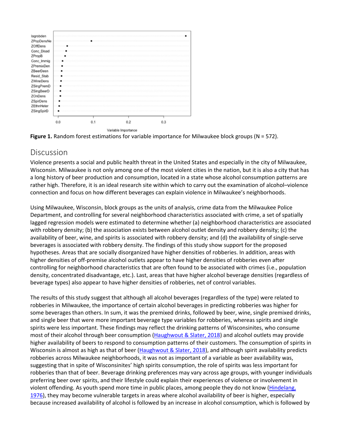



#### Discussion

Violence presents a social and public health threat in the United States and especially in the city of Milwaukee, Wisconsin. Milwaukee is not only among one of the most violent cities in the nation, but it is also a city that has a long history of beer production and consumption, located in a state whose alcohol consumption patterns are rather high. Therefore, it is an ideal research site within which to carry out the examination of alcohol–violence connection and focus on how different beverages can explain violence in Milwaukee's neighborhoods.

Using Milwaukee, Wisconsin, block groups as the units of analysis, crime data from the Milwaukee Police Department, and controlling for several neighborhood characteristics associated with crime, a set of spatially lagged regression models were estimated to determine whether (a) neighborhood characteristics are associated with robbery density; (b) the association exists between alcohol outlet density and robbery density; (c) the availability of beer, wine, and spirits is associated with robbery density; and (d) the availability of single-serve beverages is associated with robbery density. The findings of this study show support for the proposed hypotheses. Areas that are socially disorganized have higher densities of robberies. In addition, areas with higher densities of off-premise alcohol outlets appear to have higher densities of robberies even after controlling for neighborhood characteristics that are often found to be associated with crimes (i.e., population density, concentrated disadvantage, etc.). Last, areas that have higher alcohol beverage densities (regardless of beverage types) also appear to have higher densities of robberies, net of control variables.

The results of this study suggest that although all alcohol beverages (regardless of the type) were related to robberies in Milwaukee, the importance of certain alcohol beverages in predicting robberies was higher for some beverages than others. In sum, it was the premixed drinks, followed by beer, wine, single premixed drinks, and single beer that were more important beverage type variables for robberies, whereas spirits and single spirits were less important. These findings may reflect the drinking patterns of Wisconsinites, who consume most of their alcohol through beer consumption [\(Haughwout & Slater, 2018\)](https://journals.sagepub.com/doi/10.1177/0022042618812406) and alcohol outlets may provide higher availability of beers to respond to consumption patterns of their customers. The consumption of spirits in Wisconsin is almost as high as that of beer [\(Haughwout & Slater, 2018\)](https://journals.sagepub.com/doi/10.1177/0022042618812406), and although spirit availability predicts robberies across Milwaukee neighborhoods, it was not as important of a variable as beer availability was, suggesting that in spite of Wisconsinites' high spirits consumption, the role of spirits was less important for robberies than that of beer. Beverage drinking preferences may vary across age groups, with younger individuals preferring beer over spirits, and their lifestyle could explain their experiences of violence or involvement in violent offending. As youth spend more time in public places, among people they do not know [\(Hindelang,](https://journals.sagepub.com/doi/10.1177/0022042618812406)  [1976\)](https://journals.sagepub.com/doi/10.1177/0022042618812406), they may become vulnerable targets in areas where alcohol availability of beer is higher, especially because increased availability of alcohol is followed by an increase in alcohol consumption, which is followed by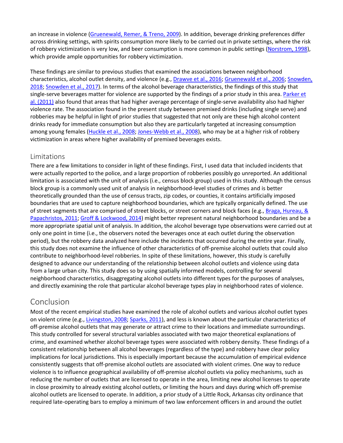an increase in violence [\(Gruenewald, Remer, & Treno, 2009\)](https://journals.sagepub.com/doi/10.1177/0022042618812406). In addition, beverage drinking preferences differ across drinking settings, with spirits consumption more likely to be carried out in private settings, where the risk of robbery victimization is very low, and beer consumption is more common in public settings [\(Norstrom, 1998\)](https://journals.sagepub.com/doi/10.1177/0022042618812406), which provide ample opportunities for robbery victimization.

These findings are similar to previous studies that examined the associations between neighborhood characteristics, alcohol outlet density, and violence (e.g., [Drawve et al., 2016;](https://journals.sagepub.com/doi/10.1177/0022042618812406) [Gruenewald et al., 2006;](https://journals.sagepub.com/doi/10.1177/0022042618812406) [Snowden,](https://journals.sagepub.com/doi/10.1177/0022042618812406)  [2018;](https://journals.sagepub.com/doi/10.1177/0022042618812406) [Snowden et al., 2017\)](https://journals.sagepub.com/doi/10.1177/0022042618812406). In terms of the alcohol beverage characteristics, the findings of this study that single-serve beverages matter for violence are supported by the findings of a prior study in this area. [Parker et](https://journals.sagepub.com/doi/10.1177/0022042618812406)  [al. \(2011\)](https://journals.sagepub.com/doi/10.1177/0022042618812406) also found that areas that had higher average percentage of single-serve availability also had higher violence rate. The association found in the present study between premixed drinks (including single serve) and robberies may be helpful in light of prior studies that suggested that not only are these high alcohol content drinks ready for immediate consumption but also they are particularly targeted at increasing consumption among young females [\(Huckle et al., 2008;](https://journals.sagepub.com/doi/10.1177/0022042618812406) [Jones-Webb et al., 2008\)](https://journals.sagepub.com/doi/10.1177/0022042618812406), who may be at a higher risk of robbery victimization in areas where higher availability of premixed beverages exists.

#### Limitations

There are a few limitations to consider in light of these findings. First, I used data that included incidents that were actually reported to the police, and a large proportion of robberies possibly go unreported. An additional limitation is associated with the unit of analysis (i.e., census block group) used in this study. Although the census block group is a commonly used unit of analysis in neighborhood-level studies of crimes and is better theoretically grounded than the use of census tracts, zip codes, or counties, it contains artificially imposed boundaries that are used to capture neighborhood boundaries, which are typically organically defined. The use of street segments that are comprised of street blocks, or street corners and block faces (e.g., [Braga, Hureau, &](https://journals.sagepub.com/doi/10.1177/0022042618812406)  [Papachristos, 2011;](https://journals.sagepub.com/doi/10.1177/0022042618812406) [Groff & Lockwood, 2014\)](https://journals.sagepub.com/doi/10.1177/0022042618812406) might better represent natural neighborhood boundaries and be a more appropriate spatial unit of analysis. In addition, the alcohol beverage type observations were carried out at only one point in time (i.e., the observers noted the beverages once at each outlet during the observation period), but the robbery data analyzed here include the incidents that occurred during the entire year. Finally, this study does not examine the influence of other characteristics of off-premise alcohol outlets that could also contribute to neighborhood-level robberies. In spite of these limitations, however, this study is carefully designed to advance our understanding of the relationship between alcohol outlets and violence using data from a large urban city. This study does so by using spatially informed models, controlling for several neighborhood characteristics, disaggregating alcohol outlets into different types for the purposes of analyses, and directly examining the role that particular alcohol beverage types play in neighborhood rates of violence.

## Conclusion

Most of the recent empirical studies have examined the role of alcohol outlets and various alcohol outlet types on violent crime (e.g., [Livingston, 2008;](https://journals.sagepub.com/doi/10.1177/0022042618812406) [Sparks, 2011\)](https://journals.sagepub.com/doi/10.1177/0022042618812406), and less is known about the particular characteristics of off-premise alcohol outlets that may generate or attract crime to their locations and immediate surroundings. This study controlled for several structural variables associated with two major theoretical explanations of crime, and examined whether alcohol beverage types were associated with robbery density. These findings of a consistent relationship between all alcohol beverages (regardless of the type) and robbery have clear policy implications for local jurisdictions. This is especially important because the accumulation of empirical evidence consistently suggests that off-premise alcohol outlets are associated with violent crimes. One way to reduce violence is to influence geographical availability of off-premise alcohol outlets via policy mechanisms, such as reducing the number of outlets that are licensed to operate in the area, limiting new alcohol licenses to operate in close proximity to already existing alcohol outlets, or limiting the hours and days during which off-premise alcohol outlets are licensed to operate. In addition, a prior study of a Little Rock, Arkansas city ordinance that required late-operating bars to employ a minimum of two law enforcement officers in and around the outlet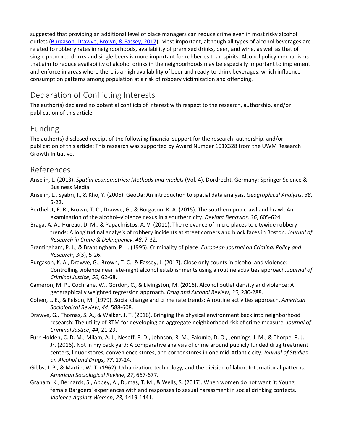suggested that providing an additional level of place managers can reduce crime even in most risky alcohol outlets [\(Burgason, Drawve, Brown,](https://journals.sagepub.com/doi/10.1177/0022042618812406) & Eassey, 2017). Most important, although all types of alcohol beverages are related to robbery rates in neighborhoods, availability of premixed drinks, beer, and wine, as well as that of single premixed drinks and single beers is more important for robberies than spirits. Alcohol policy mechanisms that aim to reduce availability of alcohol drinks in the neighborhoods may be especially important to implement and enforce in areas where there is a high availability of beer and ready-to-drink beverages, which influence consumption patterns among population at a risk of robbery victimization and offending.

## Declaration of Conflicting Interests

The author(s) declared no potential conflicts of interest with respect to the research, authorship, and/or publication of this article.

## Funding

The author(s) disclosed receipt of the following financial support for the research, authorship, and/or publication of this article: This research was supported by Award Number 101X328 from the UWM Research Growth Initiative.

#### References

- Anselin, L. (2013). *Spatial econometrics: Methods and models* (Vol. 4). Dordrecht, Germany: Springer Science & Business Media.
- Anselin, L., Syabri, I., & Kho, Y. (2006). GeoDa: An introduction to spatial data analysis. *Geographical Analysis*, *38*, 5-22.
- Berthelot, E. R., Brown, T. C., Drawve, G., & Burgason, K. A. (2015). The southern pub crawl and brawl: An examination of the alcohol–violence nexus in a southern city. *Deviant Behavior*, *36*, 605-624.
- Braga, A. A., Hureau, D. M., & Papachristos, A. V. (2011). The relevance of micro places to citywide robbery trends: A longitudinal analysis of robbery incidents at street corners and block faces in Boston. *Journal of Research in Crime & Delinquency*, *48*, 7-32.
- Brantingham, P. J., & Brantingham, P. L. (1995). Criminality of place. *European Journal on Criminal Policy and Research*, *3*(3), 5-26.
- Burgason, K. A., Drawve, G., Brown, T. C., & Eassey, J. (2017). Close only counts in alcohol and violence: Controlling violence near late-night alcohol establishments using a routine activities approach. *Journal of Criminal Justice*, *50*, 62-68.
- Cameron, M. P., Cochrane, W., Gordon, C., & Livingston, M. (2016). Alcohol outlet density and violence: A geographically weighted regression approach. *Drug and Alcohol Review*, *35*, 280-288.
- Cohen, L. E., & Felson, M. (1979). Social change and crime rate trends: A routine activities approach. *American Sociological Review*, *44*, 588-608.
- Drawve, G., Thomas, S. A., & Walker, J. T. (2016). Bringing the physical environment back into neighborhood research: The utility of RTM for developing an aggregate neighborhood risk of crime measure. *Journal of Criminal Justice*, *44*, 21-29.
- Furr-Holden, C. D. M., Milam, A. J., Nesoff, E. D., Johnson, R. M., Fakunle, D. O., Jennings, J. M., & Thorpe, R. J., Jr. (2016). Not in my back yard: A comparative analysis of crime around publicly funded drug treatment centers, liquor stores, convenience stores, and corner stores in one mid-Atlantic city. *Journal of Studies on Alcohol and Drugs*, *77*, 17-24.
- Gibbs, J. P., & Martin, W. T. (1962). Urbanization, technology, and the division of labor: International patterns. *American Sociological Review*, *27*, 667-677.
- Graham, K., Bernards, S., Abbey, A., Dumas, T. M., & Wells, S. (2017). When women do not want it: Young female Bargoers' experiences with and responses to sexual harassment in social drinking contexts. *Violence Against Women*, *23*, 1419-1441.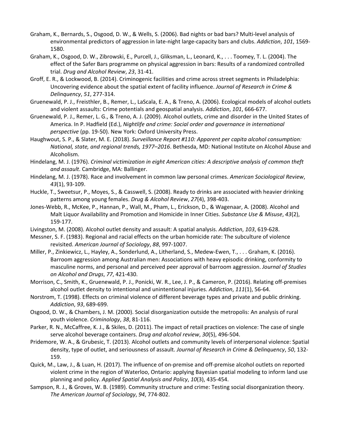- Graham, K., Bernards, S., Osgood, D. W., & Wells, S. (2006). Bad nights or bad bars? Multi-level analysis of environmental predictors of aggression in late-night large-capacity bars and clubs. *Addiction*, *101*, 1569- 1580.
- Graham, K., Osgood, D. W., Zibrowski, E., Purcell, J., Gliksman, L., Leonard, K., . . . Toomey, T. L. (2004). The effect of the Safer Bars programme on physical aggression in bars: Results of a randomized controlled trial. *Drug and Alcohol Review*, *23*, 31-41.
- Groff, E. R., & Lockwood, B. (2014). Criminogenic facilities and crime across street segments in Philadelphia: Uncovering evidence about the spatial extent of facility influence. *Journal of Research in Crime & Delinquency*, *51*, 277-314.
- Gruenewald, P. J., Freisthler, B., Remer, L., LaScala, E. A., & Treno, A. (2006). Ecological models of alcohol outlets and violent assaults: Crime potentials and geospatial analysis. *Addiction*, *101*, 666-677.
- Gruenewald, P. J., Remer, L. G., & Treno, A. J. (2009). Alcohol outlets, crime and disorder in the United States of America. In P. Hadfield (Ed.), *Nightlife and crime: Social order and governance in international perspective* (pp. 19-50). New York: Oxford University Press.
- Haughwout, S. P., & Slater, M. E. (2018). *Surveillance Report #110: Apparent per capita alcohol consumption: National, state, and regional trends, 1977–2016*. Bethesda, MD: National Institute on Alcohol Abuse and Alcoholism.
- Hindelang, M. J. (1976). *Criminal victimization in eight American cities: A descriptive analysis of common theft and assault*. Cambridge, MA: Ballinger.
- Hindelang, M. J. (1978). Race and involvement in common law personal crimes. *American Sociological Review*, *43*(1), 93-109.
- Huckle, T., Sweetsur, P., Moyes, S., & Casswell, S. (2008). Ready to drinks are associated with heavier drinking patterns among young females. *Drug & Alcohol Review*, *27*(4), 398-403.
- Jones-Webb, R., McKee, P., Hannan, P., Wall, M., Pham, L., Erickson, D., & Wagenaar, A. (2008). Alcohol and Malt Liquor Availability and Promotion and Homicide in Inner Cities. *Substance Use & Misuse*, *43*(2), 159-177.
- Livingston, M. (2008). Alcohol outlet density and assault: A spatial analysis. *Addiction*, *103*, 619-628.
- Messner, S. F. (1983). Regional and racial effects on the urban homicide rate: The subculture of violence revisited. *American Journal of Sociology*, *88*, 997-1007.
- Miller, P., Zinkiewicz, L., Hayley, A., Sonderlund, A., Litherland, S., Medew-Ewen, T., . . . Graham, K. (2016). Barroom aggression among Australian men: Associations with heavy episodic drinking, conformity to masculine norms, and personal and perceived peer approval of barroom aggression. *Journal of Studies on Alcohol and Drugs*, *77*, 421-430.
- Morrison, C., Smith, K., Gruenewald, P. J., Ponicki, W. R., Lee, J. P., & Cameron, P. (2016). Relating off-premises alcohol outlet density to intentional and unintentional injuries. *Addiction*, *111*(1), 56-64.
- Norstrom, T. (1998). Effects on criminal violence of different beverage types and private and public drinking. *Addiction*, *93*, 689-699.
- Osgood, D. W., & Chambers, J. M. (2000). Social disorganization outside the metropolis: An analysis of rural youth violence. *Criminology*, *38*, 81-116.
- Parker, R. N., McCaffree, K. J., & Skiles, D. (2011). The impact of retail practices on violence: The case of single serve alcohol beverage containers. *Drug and alcohol review*, *30*(5), 496-504.
- Pridemore, W. A., & Grubesic, T. (2013). Alcohol outlets and community levels of interpersonal violence: Spatial density, type of outlet, and seriousness of assault. *Journal of Research in Crime & Delinquency*, *50*, 132- 159.
- Quick, M., Law, J., & Luan, H. (2017). The influence of on-premise and off-premise alcohol outlets on reported violent crime in the region of Waterloo, Ontario: applying Bayesian spatial modeling to inform land use planning and policy. *Applied Spatial Analysis and Policy*, *10*(3), 435-454.
- Sampson, R. J., & Groves, W. B. (1989). Community structure and crime: Testing social disorganization theory. *The American Journal of Sociology*, *94*, 774-802.